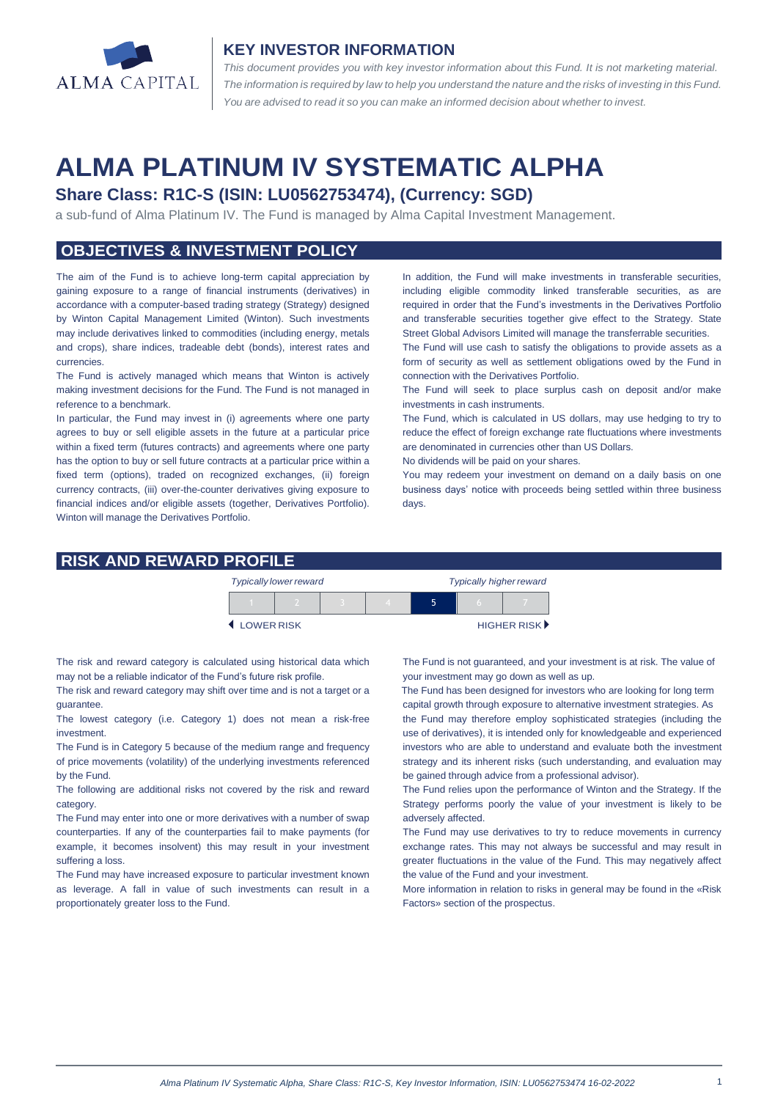

#### **KEY INVESTOR INFORMATION**

*This document provides you with key investor information about this Fund. It is not marketing material.*  The information is required by law to help you understand the nature and the risks of investing in this Fund. *You are advised to read it so you can make an informed decision about whether to invest.*

# **ALMA PLATINUM IV SYSTEMATIC ALPHA**

# **Share Class: R1C-S (ISIN: LU0562753474), (Currency: SGD)**

a sub-fund of Alma Platinum IV. The Fund is managed by Alma Capital Investment Management.

## **OBJECTIVES & INVESTMENT POLICY**

The aim of the Fund is to achieve long-term capital appreciation by gaining exposure to a range of financial instruments (derivatives) in accordance with a computer-based trading strategy (Strategy) designed by Winton Capital Management Limited (Winton). Such investments may include derivatives linked to commodities (including energy, metals and crops), share indices, tradeable debt (bonds), interest rates and currencies.

The Fund is actively managed which means that Winton is actively making investment decisions for the Fund. The Fund is not managed in reference to a benchmark.

In particular, the Fund may invest in (i) agreements where one party agrees to buy or sell eligible assets in the future at a particular price within a fixed term (futures contracts) and agreements where one party has the option to buy or sell future contracts at a particular price within a fixed term (options), traded on recognized exchanges, (ii) foreign currency contracts, (iii) over-the-counter derivatives giving exposure to financial indices and/or eligible assets (together, Derivatives Portfolio). Winton will manage the Derivatives Portfolio.

In addition, the Fund will make investments in transferable securities, including eligible commodity linked transferable securities, as are required in order that the Fund's investments in the Derivatives Portfolio and transferable securities together give effect to the Strategy. State Street Global Advisors Limited will manage the transferrable securities.

The Fund will use cash to satisfy the obligations to provide assets as a form of security as well as settlement obligations owed by the Fund in connection with the Derivatives Portfolio.

The Fund will seek to place surplus cash on deposit and/or make investments in cash instruments.

The Fund, which is calculated in US dollars, may use hedging to try to reduce the effect of foreign exchange rate fluctuations where investments are denominated in currencies other than US Dollars.

No dividends will be paid on your shares.

You may redeem your investment on demand on a daily basis on one business days' notice with proceeds being settled within three business days

#### **RISK AND REWARD PROFILE**

|            | <b>Typically lower reward</b> |  | <b>Typically higher reward</b> |  |  |                             |
|------------|-------------------------------|--|--------------------------------|--|--|-----------------------------|
|            |                               |  |                                |  |  |                             |
| LOWER RISK |                               |  |                                |  |  | HIGHER RISK <sup>&gt;</sup> |

The risk and reward category is calculated using historical data which may not be a reliable indicator of the Fund's future risk profile.

The risk and reward category may shift over time and is not a target or a guarantee.

The lowest category (i.e. Category 1) does not mean a risk-free investment.

The Fund is in Category 5 because of the medium range and frequency of price movements (volatility) of the underlying investments referenced by the Fund.

The following are additional risks not covered by the risk and reward category.

The Fund may enter into one or more derivatives with a number of swap counterparties. If any of the counterparties fail to make payments (for example, it becomes insolvent) this may result in your investment suffering a loss.

The Fund may have increased exposure to particular investment known as leverage. A fall in value of such investments can result in a proportionately greater loss to the Fund.

The Fund is not guaranteed, and your investment is at risk. The value of your investment may go down as well as up.

 The Fund has been designed for investors who are looking for long term capital growth through exposure to alternative investment strategies. As the Fund may therefore employ sophisticated strategies (including the

use of derivatives), it is intended only for knowledgeable and experienced investors who are able to understand and evaluate both the investment strategy and its inherent risks (such understanding, and evaluation may be gained through advice from a professional advisor).

The Fund relies upon the performance of Winton and the Strategy. If the Strategy performs poorly the value of your investment is likely to be adversely affected.

The Fund may use derivatives to try to reduce movements in currency exchange rates. This may not always be successful and may result in greater fluctuations in the value of the Fund. This may negatively affect the value of the Fund and your investment.

More information in relation to risks in general may be found in the «Risk Factors» section of the prospectus.